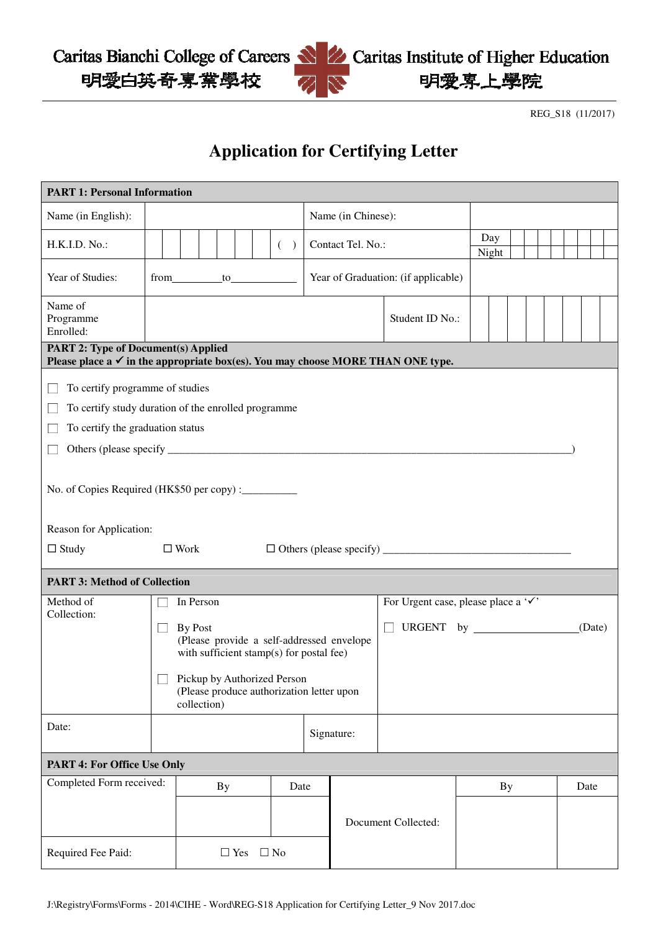Caritas Bianchi College of Careers 明愛白英奇專業學校

REG\_S18 (11/2017)

明愛専上學院

## **Application for Certifying Letter**

| <b>PART 1: Personal Information</b>                                                                                                                                                                                                              |                                                                                                                                                                                                          |            |  |  |  |  |  |  |                   |                                     |                                     |  |              |  |  |  |        |  |
|--------------------------------------------------------------------------------------------------------------------------------------------------------------------------------------------------------------------------------------------------|----------------------------------------------------------------------------------------------------------------------------------------------------------------------------------------------------------|------------|--|--|--|--|--|--|-------------------|-------------------------------------|-------------------------------------|--|--------------|--|--|--|--------|--|
| Name (in English):                                                                                                                                                                                                                               |                                                                                                                                                                                                          |            |  |  |  |  |  |  |                   | Name (in Chinese):                  |                                     |  |              |  |  |  |        |  |
| H.K.I.D. No.:                                                                                                                                                                                                                                    | ( )                                                                                                                                                                                                      |            |  |  |  |  |  |  | Contact Tel. No.: |                                     |                                     |  | Day<br>Night |  |  |  |        |  |
| Year of Studies:                                                                                                                                                                                                                                 | from to to                                                                                                                                                                                               |            |  |  |  |  |  |  |                   | Year of Graduation: (if applicable) |                                     |  |              |  |  |  |        |  |
| Name of<br>Programme<br>Enrolled:                                                                                                                                                                                                                |                                                                                                                                                                                                          |            |  |  |  |  |  |  |                   |                                     | Student ID No.:                     |  |              |  |  |  |        |  |
| <b>PART 2: Type of Document(s) Applied</b><br>Please place $a \checkmark$ in the appropriate box(es). You may choose MORE THAN ONE type.                                                                                                         |                                                                                                                                                                                                          |            |  |  |  |  |  |  |                   |                                     |                                     |  |              |  |  |  |        |  |
| To certify programme of studies<br>To certify study duration of the enrolled programme<br>To certify the graduation status<br>No. of Copies Required (HK\$50 per copy) : __________<br>Reason for Application:<br>$\Box$ Study<br>$\square$ Work |                                                                                                                                                                                                          |            |  |  |  |  |  |  |                   |                                     |                                     |  |              |  |  |  |        |  |
|                                                                                                                                                                                                                                                  | <b>PART 3: Method of Collection</b>                                                                                                                                                                      |            |  |  |  |  |  |  |                   |                                     |                                     |  |              |  |  |  |        |  |
| Method of<br>Collection:                                                                                                                                                                                                                         | In Person<br>By Post<br>(Please provide a self-addressed envelope<br>with sufficient stamp(s) for postal fee)<br>Pickup by Authorized Person<br>(Please produce authorization letter upon<br>collection) |            |  |  |  |  |  |  |                   |                                     | For Urgent case, please place a '√' |  |              |  |  |  | (Date) |  |
| Date:                                                                                                                                                                                                                                            |                                                                                                                                                                                                          |            |  |  |  |  |  |  | Signature:        |                                     |                                     |  |              |  |  |  |        |  |
| <b>PART 4: For Office Use Only</b>                                                                                                                                                                                                               |                                                                                                                                                                                                          |            |  |  |  |  |  |  |                   |                                     |                                     |  |              |  |  |  |        |  |
| Completed Form received:                                                                                                                                                                                                                         |                                                                                                                                                                                                          | Date<br>By |  |  |  |  |  |  |                   |                                     |                                     |  | <b>By</b>    |  |  |  | Date   |  |
| Required Fee Paid:                                                                                                                                                                                                                               | $\Box$ No<br>$\Box$ Yes                                                                                                                                                                                  |            |  |  |  |  |  |  |                   | Document Collected:                 |                                     |  |              |  |  |  |        |  |